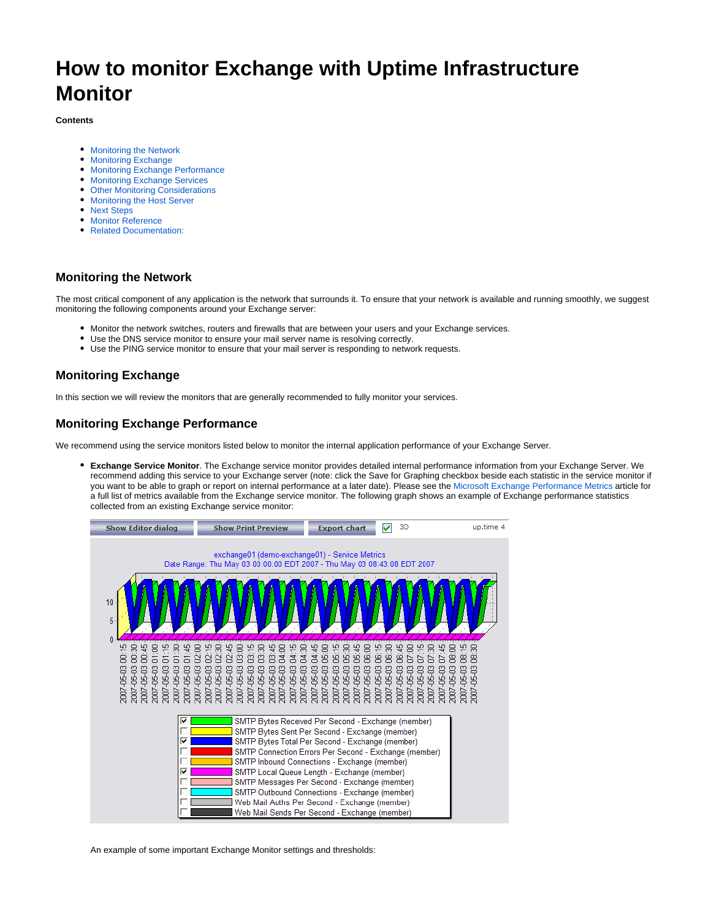# **How to monitor Exchange with Uptime Infrastructure Monitor**

#### **Contents**

- [Monitoring the Network](#page-0-0)
- [Monitoring Exchange](#page-0-1)
- [Monitoring Exchange Performance](#page-0-2)
- [Monitoring Exchange Services](#page-1-0)
- [Other Monitoring Considerations](#page-3-0)
- [Monitoring the Host Server](#page-3-1)
- [Next Steps](#page-3-2)
- **[Monitor Reference](#page-3-3)**
- [Related Documentation:](#page-4-0)

## <span id="page-0-0"></span>**Monitoring the Network**

The most critical component of any application is the network that surrounds it. To ensure that your network is available and running smoothly, we suggest monitoring the following components around your Exchange server:

- Monitor the network switches, routers and firewalls that are between your users and your Exchange services.
- Use the DNS service monitor to ensure your mail server name is resolving correctly.
- Use the PING service monitor to ensure that your mail server is responding to network requests.

## <span id="page-0-1"></span>**Monitoring Exchange**

In this section we will review the monitors that are generally recommended to fully monitor your services.

# <span id="page-0-2"></span>**Monitoring Exchange Performance**

We recommend using the service monitors listed below to monitor the internal application performance of your Exchange Server.

**Exchange Service Monitor**. The Exchange service monitor provides detailed internal performance information from your Exchange Server. We recommend adding this service to your Exchange server (note: click the Save for Graphing checkbox beside each statistic in the service monitor if you want to be able to graph or report on internal performance at a later date). Please see the [Microsoft Exchange Performance Metrics](http://docs.uptimesoftware.com/display/KB/Microsoft+Exchange+Performance+Metrics) article for a full list of metrics available from the Exchange service monitor. The following graph shows an example of Exchange performance statistics collected from an existing Exchange service monitor:



An example of some important Exchange Monitor settings and thresholds: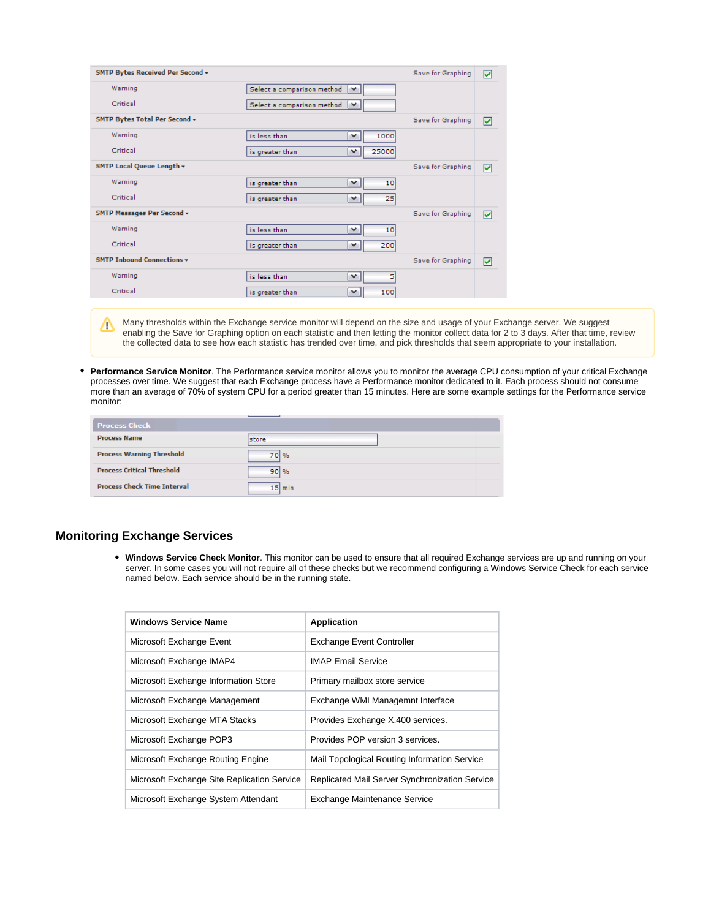| SMTP Bytes Received Per Second +  |                                      | Save for Graphing | ☑ |
|-----------------------------------|--------------------------------------|-------------------|---|
| Warning                           | Select a comparison method<br>$\vee$ |                   |   |
| Critical                          | Select a comparison method<br>v      |                   |   |
| SMTP Bytes Total Per Second +     |                                      | Save for Graphing | 罓 |
| Warning                           | 1000<br>is less than<br>v            |                   |   |
| Critical                          | 25000<br>is greater than<br>v        |                   |   |
| SMTP Local Queue Length v         |                                      | Save for Graphing | ☑ |
| Warning                           | is greater than<br>٧<br>10           |                   |   |
| Critical                          | 25<br>is greater than<br>٧           |                   |   |
| <b>SMTP Messages Per Second +</b> |                                      | Save for Graphing | ☑ |
| Warning                           | is less than<br>10<br>v              |                   |   |
| Critical                          | 200<br>is greater than<br>v          |                   |   |
| <b>SMTP Inhound Connections v</b> |                                      | Save for Graphing | ☑ |
| Warning                           | is less than<br>5<br>v               |                   |   |
| Critical                          | 100<br>v<br>is greater than          |                   |   |

Many thresholds within the Exchange service monitor will depend on the size and usage of your Exchange server. We suggest Λ enabling the Save for Graphing option on each statistic and then letting the monitor collect data for 2 to 3 days. After that time, review the collected data to see how each statistic has trended over time, and pick thresholds that seem appropriate to your installation.

**Performance Service Monitor**. The Performance service monitor allows you to monitor the average CPU consumption of your critical Exchange processes over time. We suggest that each Exchange process have a Performance monitor dedicated to it. Each process should not consume more than an average of 70% of system CPU for a period greater than 15 minutes. Here are some example settings for the Performance service monitor:

| <b>Process Check</b>               |               |
|------------------------------------|---------------|
| <b>Process Name</b>                | <b>Istore</b> |
| <b>Process Warning Threshold</b>   | 70 %          |
| <b>Process Critical Threshold</b>  | 901%          |
| <b>Process Check Time Interval</b> | $15$ min      |

## <span id="page-1-0"></span>**Monitoring Exchange Services**

**Windows Service Check Monitor**. This monitor can be used to ensure that all required Exchange services are up and running on your server. In some cases you will not require all of these checks but we recommend configuring a Windows Service Check for each service named below. Each service should be in the running state.

| <b>Windows Service Name</b>                 | <b>Application</b>                             |
|---------------------------------------------|------------------------------------------------|
| Microsoft Exchange Event                    | <b>Exchange Event Controller</b>               |
| Microsoft Exchange IMAP4                    | <b>IMAP Email Service</b>                      |
| Microsoft Exchange Information Store        | Primary mailbox store service                  |
| Microsoft Exchange Management               | Exchange WMI Managemnt Interface               |
| Microsoft Exchange MTA Stacks               | Provides Exchange X.400 services.              |
| Microsoft Exchange POP3                     | Provides POP version 3 services.               |
| Microsoft Exchange Routing Engine           | Mail Topological Routing Information Service   |
| Microsoft Exchange Site Replication Service | Replicated Mail Server Synchronization Service |
| Microsoft Exchange System Attendant         | <b>Exchange Maintenance Service</b>            |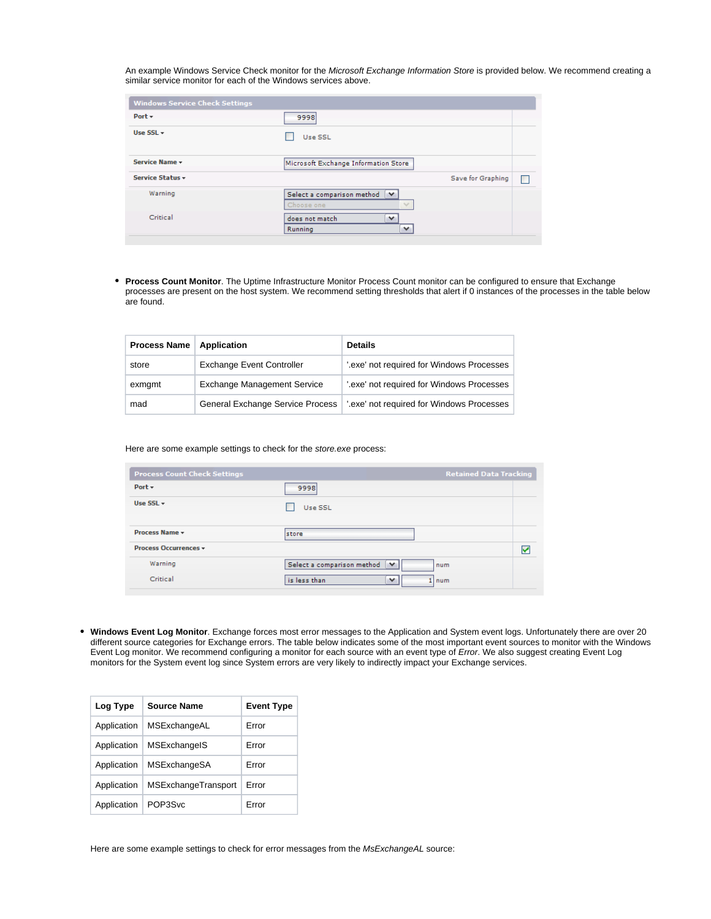An example Windows Service Check monitor for the Microsoft Exchange Information Store is provided below. We recommend creating a similar service monitor for each of the Windows services above.

| <b>Windows Service Check Settings</b> |                                                                    |   |
|---------------------------------------|--------------------------------------------------------------------|---|
| Port $\star$                          | 9998                                                               |   |
| Use $SSL -$                           | Use SSL                                                            |   |
| Service Name -                        | Microsoft Exchange Information Store                               |   |
| Service Status +                      | Save for Graphing                                                  | П |
| Warning                               | Select a comparison method<br>$\checkmark$<br>Choose one<br>$\sim$ |   |
| Critical                              | does not match<br>v<br>$\checkmark$<br>Running                     |   |

**Process Count Monitor**. The Uptime Infrastructure Monitor Process Count monitor can be configured to ensure that Exchange processes are present on the host system. We recommend setting thresholds that alert if 0 instances of the processes in the table below are found.

| <b>Process Name</b> | Application                             | <b>Details</b>                            |
|---------------------|-----------------------------------------|-------------------------------------------|
| store               | <b>Exchange Event Controller</b>        | '.exe' not required for Windows Processes |
| exmgmt              | <b>Exchange Management Service</b>      | '.exe' not required for Windows Processes |
| mad                 | <b>General Exchange Service Process</b> | exe' not required for Windows Processes   |

Here are some example settings to check for the store.exe process:

| <b>Process Count Check Settings</b> | <b>Retained Data Tracking</b>          |   |
|-------------------------------------|----------------------------------------|---|
| Port $\star$                        | 9998                                   |   |
| Use $SSL -$                         | Use SSL                                |   |
| Process Name +                      | store                                  |   |
| <b>Process Occurrences v</b>        |                                        | ☑ |
| Warning                             | Select a comparison method<br>v<br>num |   |
| Critical                            | is less than<br>v<br>1 I num           |   |

**Windows Event Log Monitor**. Exchange forces most error messages to the Application and System event logs. Unfortunately there are over 20 different source categories for Exchange errors. The table below indicates some of the most important event sources to monitor with the Windows Event Log monitor. We recommend configuring a monitor for each source with an event type of Error. We also suggest creating Event Log monitors for the System event log since System errors are very likely to indirectly impact your Exchange services.

| Log Type    | Source Name         | <b>Event Type</b> |
|-------------|---------------------|-------------------|
| Application | MSExchangeAL        | Frror             |
| Application | MSExchangelS        | Error             |
| Application | MSExchangeSA        | Frror             |
| Application | MSExchangeTransport | Error             |
| Application | POP3Svc             | Frror             |

Here are some example settings to check for error messages from the MsExchangeAL source: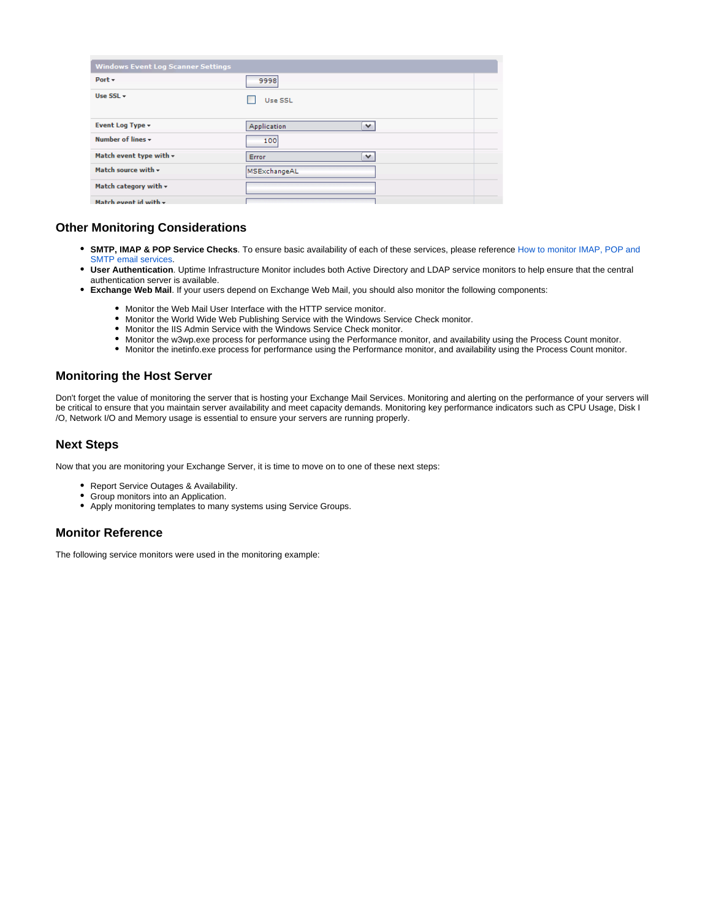| <b>Windows Event Log Scanner Settings</b> |                             |
|-------------------------------------------|-----------------------------|
| Port $\sim$                               | 9998                        |
| Use $SSL \rightarrow$                     | Use SSL                     |
| Event Log Type +                          | Application<br>$\checkmark$ |
| Number of lines $\star$                   | 100                         |
| Match event type with $\star$             | v<br>Error                  |
| Match source with $\star$                 | MSExchangeAL                |
| Match category with $\star$               |                             |
| Match event id with $\star$               |                             |

## <span id="page-3-0"></span>**Other Monitoring Considerations**

- **SMTP, IMAP & POP Service Checks**. To ensure basic availability of each of these services, please reference [How to monitor IMAP, POP and](https://docs.uptimesoftware.com/display/KB/How+to+monitor+IMAP%2C+POP+and+SMTP+email+services)  [SMTP email services](https://docs.uptimesoftware.com/display/KB/How+to+monitor+IMAP%2C+POP+and+SMTP+email+services).
- **User Authentication**. Uptime Infrastructure Monitor includes both Active Directory and LDAP service monitors to help ensure that the central authentication server is available.
- **Exchange Web Mail**. If your users depend on Exchange Web Mail, you should also monitor the following components:
	- Monitor the Web Mail User Interface with the HTTP service monitor.
	- Monitor the World Wide Web Publishing Service with the Windows Service Check monitor.
	- Monitor the IIS Admin Service with the Windows Service Check monitor.
	- Monitor the w3wp.exe process for performance using the Performance monitor, and availability using the Process Count monitor.
	- Monitor the inetinfo.exe process for performance using the Performance monitor, and availability using the Process Count monitor.

#### <span id="page-3-1"></span>**Monitoring the Host Server**

Don't forget the value of monitoring the server that is hosting your Exchange Mail Services. Monitoring and alerting on the performance of your servers will be critical to ensure that you maintain server availability and meet capacity demands. Monitoring key performance indicators such as CPU Usage, Disk I /O, Network I/O and Memory usage is essential to ensure your servers are running properly.

#### <span id="page-3-2"></span>**Next Steps**

Now that you are monitoring your Exchange Server, it is time to move on to one of these next steps:

- Report Service Outages & Availability.
- Group monitors into an Application.
- Apply monitoring templates to many systems using Service Groups.

#### <span id="page-3-3"></span>**Monitor Reference**

The following service monitors were used in the monitoring example: